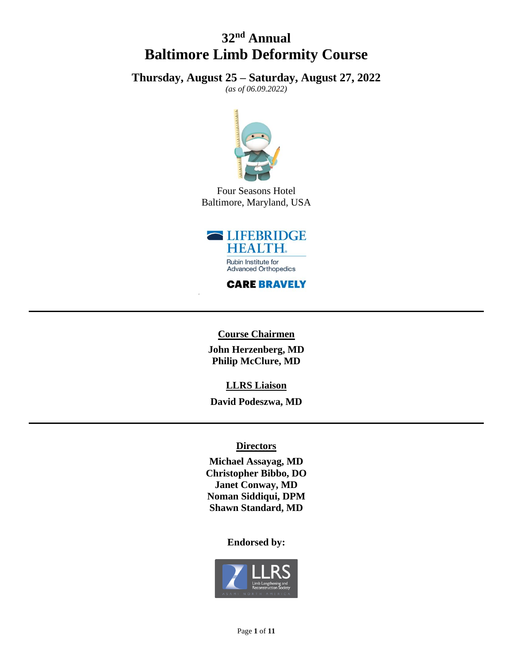# **32 nd Annual Baltimore Limb Deformity Course**

**Thursday, August 25 – Saturday, August 27, 2022**

*(as of 06.09.2022)*



Four Seasons Hotel Baltimore, Maryland, USA



**CARE BRAVELY** 

**Course Chairmen John Herzenberg, MD Philip McClure, MD**

**LLRS Liaison**

**David Podeszwa, MD**

#### **Directors**

**Michael Assayag, MD Christopher Bibbo, DO Janet Conway, MD Noman Siddiqui, DPM Shawn Standard, MD**

#### **Endorsed by:**

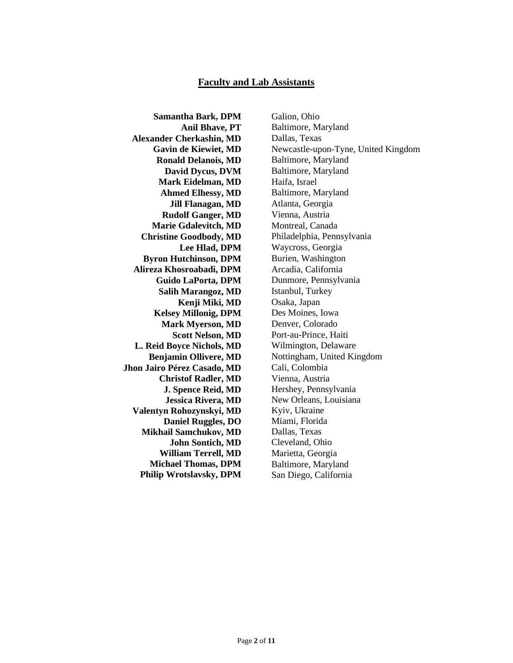#### **Faculty and Lab Assistants**

**Samantha Bark, DPM Anil Bhave, PT Alexander Cherkashin, MD Gavin de Kiewiet, MD Ronald Delanois, MD David Dycus, DVM Mark Eidelman, MD Ahmed Elhessy, MD Jill Flanagan, MD Rudolf Ganger, MD Marie Gdalevitch, MD Christine Goodbody, MD Lee Hlad, DPM Byron Hutchinson, DPM Alireza Khosroabadi, DPM Guido LaPorta, DPM Salih Marangoz, MD Kenji Miki, MD Kelsey Millonig, DPM Mark Myerson, MD Scott Nelson, MD L. Reid Boyce Nichols, MD Benjamin Ollivere, MD Jhon Jairo Pérez Casado, MD Christof Radler, MD J. Spence Reid, MD Jessica Rivera, MD Valentyn Rohozynskyi, MD Daniel Ruggles, DO Mikhail Samchukov, MD John Sontich, MD William Terrell, MD Michael Thomas, DPM Philip Wrotslavsky, DPM**

Galion, Ohio Baltimore, Maryland Dallas, Texas Newcastle-upon-Tyne, United Kingdom Baltimore, Maryland Baltimore, Maryland Haifa, Israel Baltimore, Maryland Atlanta, Georgia Vienna, Austria Montreal, Canada Philadelphia, Pennsylvania Waycross, Georgia Burien, Washington Arcadia, California Dunmore, Pennsylvania Istanbul, Turkey Osaka, Japan Des Moines, Iowa Denver, Colorado Port-au-Prince, Haiti Wilmington, Delaware Nottingham, United Kingdom Cali, Colombia Vienna, Austria Hershey, Pennsylvania New Orleans, Louisiana Kyiv, Ukraine Miami, Florida Dallas, Texas Cleveland, Ohio Marietta, Georgia Baltimore, Maryland San Diego, California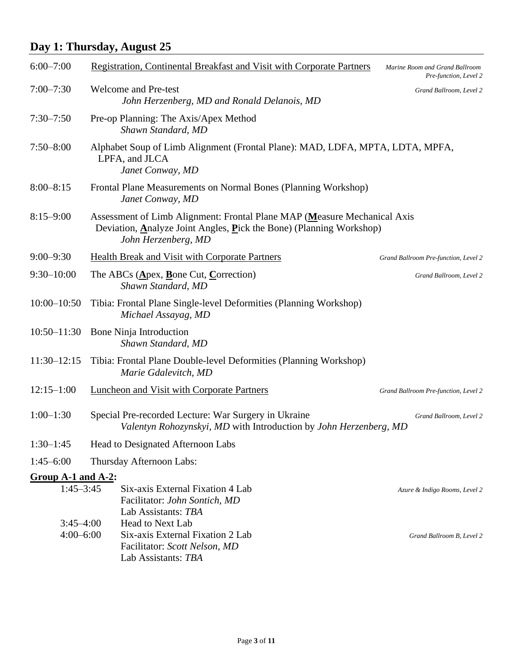# **Day 1: Thursday, August 25**

| $6:00 - 7:00$                | <b>Registration, Continental Breakfast and Visit with Corporate Partners</b>                                                                                           | Marine Room and Grand Ballroom<br>Pre-function, Level 2 |
|------------------------------|------------------------------------------------------------------------------------------------------------------------------------------------------------------------|---------------------------------------------------------|
| $7:00 - 7:30$                | <b>Welcome and Pre-test</b><br>John Herzenberg, MD and Ronald Delanois, MD                                                                                             | Grand Ballroom, Level 2                                 |
| $7:30 - 7:50$                | Pre-op Planning: The Axis/Apex Method<br>Shawn Standard, MD                                                                                                            |                                                         |
| $7:50 - 8:00$                | Alphabet Soup of Limb Alignment (Frontal Plane): MAD, LDFA, MPTA, LDTA, MPFA,<br>LPFA, and JLCA<br>Janet Conway, MD                                                    |                                                         |
| $8:00 - 8:15$                | Frontal Plane Measurements on Normal Bones (Planning Workshop)<br>Janet Conway, MD                                                                                     |                                                         |
| $8:15 - 9:00$                | Assessment of Limb Alignment: Frontal Plane MAP (Measure Mechanical Axis<br>Deviation, Analyze Joint Angles, Pick the Bone) (Planning Workshop)<br>John Herzenberg, MD |                                                         |
| $9:00 - 9:30$                | <b>Health Break and Visit with Corporate Partners</b>                                                                                                                  | Grand Ballroom Pre-function, Level 2                    |
| $9:30 - 10:00$               | The ABCs ( $\triangle$ pex, Bone Cut, Correction)<br>Shawn Standard, MD                                                                                                | Grand Ballroom, Level 2                                 |
| $10:00 - 10:50$              | Tibia: Frontal Plane Single-level Deformities (Planning Workshop)<br>Michael Assayag, MD                                                                               |                                                         |
| $10:50 - 11:30$              | Bone Ninja Introduction<br>Shawn Standard, MD                                                                                                                          |                                                         |
| $11:30 - 12:15$              | Tibia: Frontal Plane Double-level Deformities (Planning Workshop)<br>Marie Gdalevitch, MD                                                                              |                                                         |
| $12:15 - 1:00$               | <b>Luncheon and Visit with Corporate Partners</b>                                                                                                                      | Grand Ballroom Pre-function, Level 2                    |
| $1:00-1:30$                  | Special Pre-recorded Lecture: War Surgery in Ukraine<br>Valentyn Rohozynskyi, MD with Introduction by John Herzenberg, MD                                              | Grand Ballroom, Level 2                                 |
| $1:30-1:45$                  | Head to Designated Afternoon Labs                                                                                                                                      |                                                         |
| $1:45 - 6:00$                | Thursday Afternoon Labs:                                                                                                                                               |                                                         |
| Group A-1 and A-2:           |                                                                                                                                                                        |                                                         |
| $1:45 - 3:45$                | Six-axis External Fixation 4 Lab<br>Facilitator: John Sontich, MD<br>Lab Assistants: TBA                                                                               | Azure & Indigo Rooms, Level 2                           |
| $3:45-4:00$<br>$4:00 - 6:00$ | <b>Head to Next Lab</b><br>Six-axis External Fixation 2 Lab<br>Facilitator: Scott Nelson, MD<br>Lab Assistants: TBA                                                    | Grand Ballroom B, Level 2                               |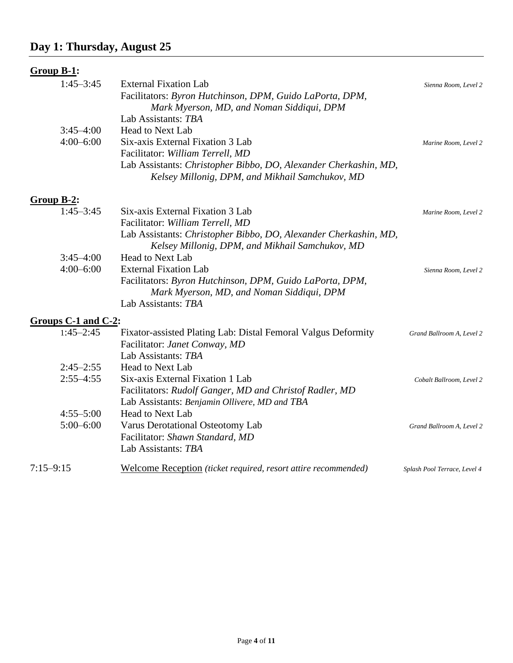### **Group B-1:**

| $1:45 - 3:45$ | <b>External Fixation Lab</b>                                     | Sienna Room, Level 2 |
|---------------|------------------------------------------------------------------|----------------------|
|               | Facilitators: Byron Hutchinson, DPM, Guido LaPorta, DPM,         |                      |
|               | Mark Myerson, MD, and Noman Siddiqui, DPM                        |                      |
|               | Lab Assistants: TBA                                              |                      |
| $3:45-4:00$   | <b>Head to Next Lab</b>                                          |                      |
| $4:00-6:00$   | Six-axis External Fixation 3 Lab                                 | Marine Room, Level 2 |
|               | Facilitator: William Terrell, MD                                 |                      |
|               | Lab Assistants: Christopher Bibbo, DO, Alexander Cherkashin, MD, |                      |
|               | Kelsey Millonig, DPM, and Mikhail Samchukov, MD                  |                      |
|               |                                                                  |                      |

### **Group B-2:**

| $1:45 - 3:45$                             | Six-axis External Fixation 3 Lab                                 | Marine Room, Level 2 |
|-------------------------------------------|------------------------------------------------------------------|----------------------|
|                                           | Facilitator: William Terrell, MD                                 |                      |
|                                           | Lab Assistants: Christopher Bibbo, DO, Alexander Cherkashin, MD, |                      |
|                                           | Kelsey Millonig, DPM, and Mikhail Samchukov, MD                  |                      |
| $3:45-4:00$                               | <b>Head to Next Lab</b>                                          |                      |
| $4:00-6:00$                               | <b>External Fixation Lab</b>                                     | Sienna Room, Level 2 |
|                                           | Facilitators: Byron Hutchinson, DPM, Guido LaPorta, DPM,         |                      |
|                                           | Mark Myerson, MD, and Noman Siddiqui, DPM                        |                      |
|                                           | Lab Assistants: TBA                                              |                      |
| $\sim$ $\Omega$ 1 and $\Omega$ $\Omega$ . |                                                                  |                      |

#### **Groups C-1 and C-2:**

| $1:45 - 2:45$ | Fixator-assisted Plating Lab: Distal Femoral Valgus Deformity         | Grand Ballroom A, Level 2    |
|---------------|-----------------------------------------------------------------------|------------------------------|
|               | Facilitator: Janet Conway, MD                                         |                              |
|               | Lab Assistants: TBA                                                   |                              |
| $2:45 - 2:55$ | <b>Head to Next Lab</b>                                               |                              |
| $2:55 - 4:55$ | Six-axis External Fixation 1 Lab                                      | Cobalt Ballroom, Level 2     |
|               | Facilitators: Rudolf Ganger, MD and Christof Radler, MD               |                              |
|               | Lab Assistants: Benjamin Ollivere, MD and TBA                         |                              |
| $4:55 - 5:00$ | <b>Head to Next Lab</b>                                               |                              |
| $5:00-6:00$   | Varus Derotational Osteotomy Lab                                      | Grand Ballroom A, Level 2    |
|               | Facilitator: Shawn Standard, MD                                       |                              |
|               | Lab Assistants: TBA                                                   |                              |
| 7:15–9:15     | Welcome Reception <i>(ticket required, resort attire recommended)</i> | Splash Pool Terrace, Level 4 |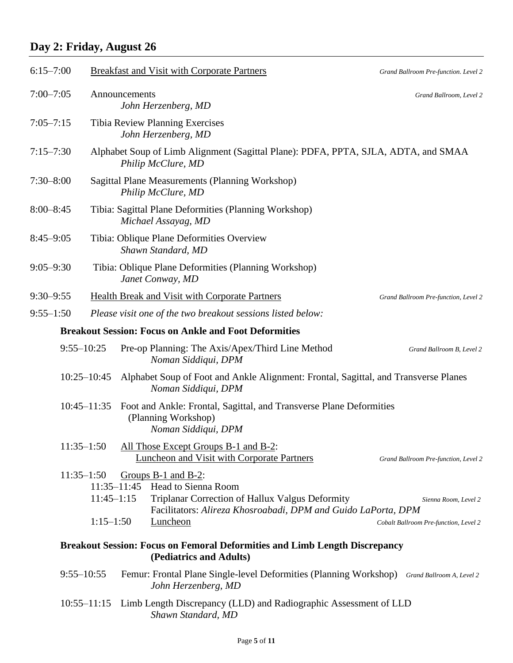# **Day 2: Friday, August 26**

| $6:15 - 7:00$ |                                                                    | <b>Breakfast and Visit with Corporate Partners</b>                                                                    |                                                               | Grand Ballroom Pre-function. Level 2                          |
|---------------|--------------------------------------------------------------------|-----------------------------------------------------------------------------------------------------------------------|---------------------------------------------------------------|---------------------------------------------------------------|
| $7:00 - 7:05$ |                                                                    | Announcements<br>John Herzenberg, MD                                                                                  |                                                               | Grand Ballroom, Level 2                                       |
| $7:05 - 7:15$ |                                                                    | Tibia Review Planning Exercises<br>John Herzenberg, MD                                                                |                                                               |                                                               |
| $7:15 - 7:30$ |                                                                    | Alphabet Soup of Limb Alignment (Sagittal Plane): PDFA, PPTA, SJLA, ADTA, and SMAA<br>Philip McClure, MD              |                                                               |                                                               |
| $7:30 - 8:00$ |                                                                    | Sagittal Plane Measurements (Planning Workshop)<br>Philip McClure, MD                                                 |                                                               |                                                               |
| $8:00 - 8:45$ |                                                                    | Tibia: Sagittal Plane Deformities (Planning Workshop)<br>Michael Assayag, MD                                          |                                                               |                                                               |
| $8:45 - 9:05$ |                                                                    | Tibia: Oblique Plane Deformities Overview<br>Shawn Standard, MD                                                       |                                                               |                                                               |
| $9:05 - 9:30$ |                                                                    | Tibia: Oblique Plane Deformities (Planning Workshop)<br>Janet Conway, MD                                              |                                                               |                                                               |
| $9:30 - 9:55$ |                                                                    | <b>Health Break and Visit with Corporate Partners</b>                                                                 |                                                               | Grand Ballroom Pre-function, Level 2                          |
| $9:55 - 1:50$ |                                                                    | Please visit one of the two breakout sessions listed below:                                                           |                                                               |                                                               |
|               |                                                                    | <b>Breakout Session: Focus on Ankle and Foot Deformities</b>                                                          |                                                               |                                                               |
|               | $9:55 - 10:25$                                                     | Pre-op Planning: The Axis/Apex/Third Line Method<br>Noman Siddiqui, DPM                                               |                                                               | Grand Ballroom B, Level 2                                     |
|               | $10:25 - 10:45$                                                    | Alphabet Soup of Foot and Ankle Alignment: Frontal, Sagittal, and Transverse Planes<br>Noman Siddiqui, DPM            |                                                               |                                                               |
|               | $10:45 - 11:35$                                                    | Foot and Ankle: Frontal, Sagittal, and Transverse Plane Deformities<br>(Planning Workshop)<br>Noman Siddiqui, DPM     |                                                               |                                                               |
|               | $11:35 - 1:50$                                                     | All Those Except Groups B-1 and B-2:<br>Luncheon and Visit with Corporate Partners                                    |                                                               | Grand Ballroom Pre-function, Level 2                          |
|               | $11:35 - 1:50$<br>$11:35 - 11:45$<br>$11:45 - 1:15$<br>$1:15-1:50$ | Groups $B-1$ and $B-2$ :<br><b>Head to Sienna Room</b><br>Triplanar Correction of Hallux Valgus Deformity<br>Luncheon | Facilitators: Alireza Khosroabadi, DPM and Guido LaPorta, DPM | Sienna Room, Level 2<br>Cobalt Ballroom Pre-function, Level 2 |
|               |                                                                    | <b>Breakout Session: Focus on Femoral Deformities and Limb Length Discrepancy</b><br>(Pediatrics and Adults)          |                                                               |                                                               |
|               | $9:55 - 10:55$                                                     | Femur: Frontal Plane Single-level Deformities (Planning Workshop) Grand Ballroom A, Level 2<br>John Herzenberg, MD    |                                                               |                                                               |
|               |                                                                    | 10:55–11:15 Limb Length Discrepancy (LLD) and Radiographic Assessment of LLD<br>Shawn Standard, MD                    |                                                               |                                                               |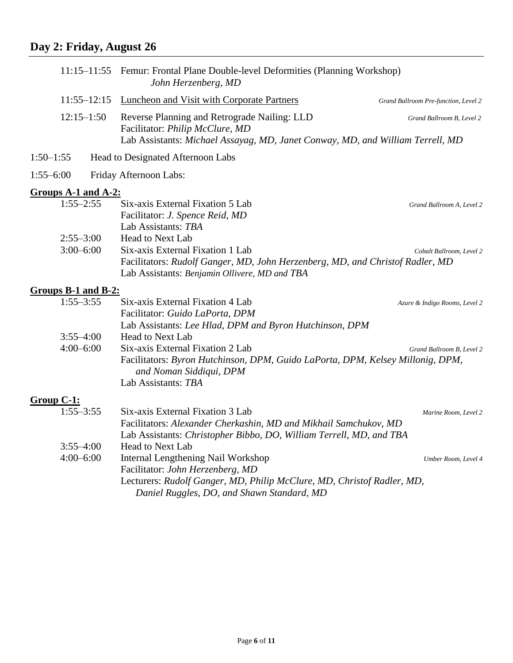# **Day 2: Friday, August 26**

|                                | 11:15–11:55 Femur: Frontal Plane Double-level Deformities (Planning Workshop)<br>John Herzenberg, MD                                                                                           |                                      |
|--------------------------------|------------------------------------------------------------------------------------------------------------------------------------------------------------------------------------------------|--------------------------------------|
| $11:55 - 12:15$                | Luncheon and Visit with Corporate Partners                                                                                                                                                     | Grand Ballroom Pre-function, Level 2 |
| $12:15 - 1:50$                 | Reverse Planning and Retrograde Nailing: LLD<br>Facilitator: Philip McClure, MD<br>Lab Assistants: Michael Assayag, MD, Janet Conway, MD, and William Terrell, MD                              | Grand Ballroom B, Level 2            |
| $1:50-1:55$                    | Head to Designated Afternoon Labs                                                                                                                                                              |                                      |
| $1:55 - 6:00$                  | Friday Afternoon Labs:                                                                                                                                                                         |                                      |
| Groups A-1 and A-2:            |                                                                                                                                                                                                |                                      |
| $1:55 - 2:55$                  | Six-axis External Fixation 5 Lab<br>Facilitator: J. Spence Reid, MD<br>Lab Assistants: TBA                                                                                                     | Grand Ballroom A, Level 2            |
| $2:55 - 3:00$<br>$3:00 - 6:00$ | <b>Head to Next Lab</b><br>Six-axis External Fixation 1 Lab<br>Facilitators: Rudolf Ganger, MD, John Herzenberg, MD, and Christof Radler, MD<br>Lab Assistants: Benjamin Ollivere, MD and TBA  | Cobalt Ballroom, Level 2             |
| <b>Groups B-1 and B-2:</b>     |                                                                                                                                                                                                |                                      |
| $1:55 - 3:55$<br>$3:55 - 4:00$ | Six-axis External Fixation 4 Lab<br>Facilitator: Guido LaPorta, DPM<br>Lab Assistants: Lee Hlad, DPM and Byron Hutchinson, DPM<br><b>Head to Next Lab</b>                                      | Azure & Indigo Rooms, Level 2        |
| $4:00 - 6:00$                  | Six-axis External Fixation 2 Lab<br>Facilitators: Byron Hutchinson, DPM, Guido LaPorta, DPM, Kelsey Millonig, DPM,<br>and Noman Siddiqui, DPM<br>Lab Assistants: TBA                           | Grand Ballroom B, Level 2            |
| $Group C-1:$                   |                                                                                                                                                                                                |                                      |
| $1:55 - 3:55$                  | Six-axis External Fixation 3 Lab<br>Facilitators: Alexander Cherkashin, MD and Mikhail Samchukov, MD<br>Lab Assistants: Christopher Bibbo, DO, William Terrell, MD, and TBA                    | Marine Room, Level 2                 |
| $3:55 - 4:00$                  | <b>Head to Next Lab</b>                                                                                                                                                                        |                                      |
| $4:00 - 6:00$                  | Internal Lengthening Nail Workshop<br>Facilitator: John Herzenberg, MD<br>Lecturers: Rudolf Ganger, MD, Philip McClure, MD, Christof Radler, MD,<br>Daniel Ruggles, DO, and Shawn Standard, MD | Umber Room, Level 4                  |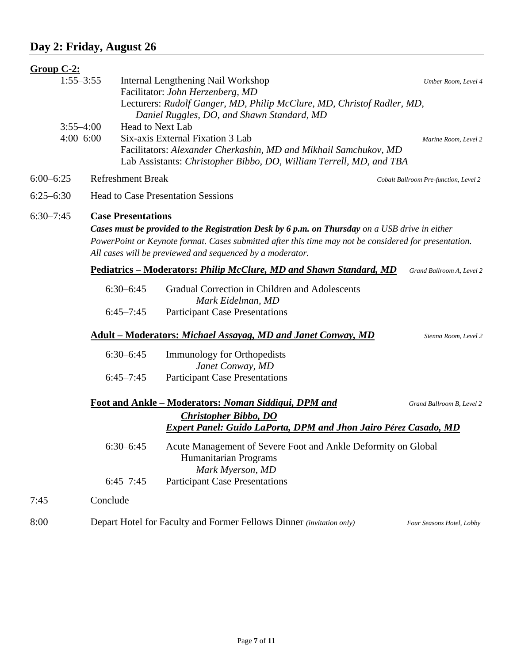### **Day 2: Friday, August 26**

7:45 Conclude

| Group C-2: |  |
|------------|--|
|            |  |

| Group $C-2$ : |                          |                                                                                                                                         |                                       |  |  |
|---------------|--------------------------|-----------------------------------------------------------------------------------------------------------------------------------------|---------------------------------------|--|--|
| $1:55 - 3:55$ |                          | Internal Lengthening Nail Workshop<br>Facilitator: John Herzenberg, MD                                                                  | Umber Room, Level 4                   |  |  |
|               |                          | Lecturers: Rudolf Ganger, MD, Philip McClure, MD, Christof Radler, MD,                                                                  |                                       |  |  |
| $3:55 - 4:00$ |                          | Daniel Ruggles, DO, and Shawn Standard, MD<br><b>Head to Next Lab</b>                                                                   |                                       |  |  |
| $4:00 - 6:00$ |                          | Six-axis External Fixation 3 Lab<br>Marine Room, Level 2                                                                                |                                       |  |  |
|               |                          | Facilitators: Alexander Cherkashin, MD and Mikhail Samchukov, MD<br>Lab Assistants: Christopher Bibbo, DO, William Terrell, MD, and TBA |                                       |  |  |
| $6:00-6:25$   | <b>Refreshment Break</b> |                                                                                                                                         | Cobalt Ballroom Pre-function, Level 2 |  |  |
| $6:25-6:30$   |                          | <b>Head to Case Presentation Sessions</b>                                                                                               |                                       |  |  |
| $6:30 - 7:45$ |                          | <b>Case Presentations</b>                                                                                                               |                                       |  |  |
|               |                          | Cases must be provided to the Registration Desk by 6 p.m. on Thursday on a USB drive in either                                          |                                       |  |  |
|               |                          | PowerPoint or Keynote format. Cases submitted after this time may not be considered for presentation.                                   |                                       |  |  |
|               |                          | All cases will be previewed and sequenced by a moderator.                                                                               |                                       |  |  |
|               |                          | Pediatrics - Moderators: Philip McClure, MD and Shawn Standard, MD                                                                      | Grand Ballroom A, Level 2             |  |  |
|               | $6:30-6:45$              | Gradual Correction in Children and Adolescents<br>Mark Eidelman, MD                                                                     |                                       |  |  |
|               | $6:45 - 7:45$            | <b>Participant Case Presentations</b>                                                                                                   |                                       |  |  |
|               |                          | <b>Adult – Moderators: Michael Assayag, MD and Janet Conway, MD</b><br>Sienna Room, Level 2                                             |                                       |  |  |
|               | $6:30-6:45$              | <b>Immunology for Orthopedists</b>                                                                                                      |                                       |  |  |
|               |                          | Janet Conway, MD                                                                                                                        |                                       |  |  |
|               | $6:45 - 7:45$            | <b>Participant Case Presentations</b>                                                                                                   |                                       |  |  |
|               |                          | Foot and Ankle - Moderators: Noman Siddiqui, DPM and                                                                                    | Grand Ballroom B, Level 2             |  |  |

*Expert Panel: Guido LaPorta, DPM and Jhon Jairo Pérez Casado, MD* 

6:30–6:45 Acute Management of Severe Foot and Ankle Deformity on Global

8:00 Depart Hotel for Faculty and Former Fellows Dinner *(invitation only) Four Seasons Hotel, Lobby*

*Christopher Bibbo, DO* 

Humanitarian Programs *Mark Myerson, MD*

6:45–7:45 Participant Case Presentations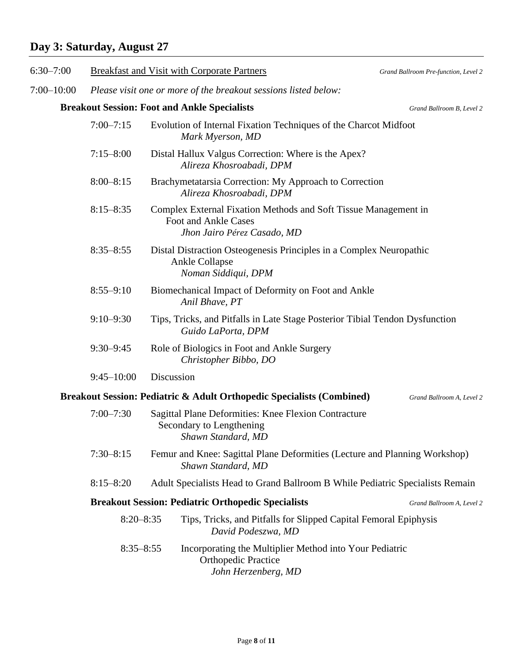# **Day 3: Saturday, August 27**

| $6:30 - 7:00$  |                                                                 | <b>Breakfast and Visit with Corporate Partners</b>                                                                     | Grand Ballroom Pre-function, Level 2 |
|----------------|-----------------------------------------------------------------|------------------------------------------------------------------------------------------------------------------------|--------------------------------------|
| $7:00 - 10:00$ | Please visit one or more of the breakout sessions listed below: |                                                                                                                        |                                      |
|                |                                                                 | <b>Breakout Session: Foot and Ankle Specialists</b>                                                                    | Grand Ballroom B, Level 2            |
|                | $7:00 - 7:15$                                                   | Evolution of Internal Fixation Techniques of the Charcot Midfoot<br>Mark Myerson, MD                                   |                                      |
|                | $7:15 - 8:00$                                                   | Distal Hallux Valgus Correction: Where is the Apex?<br>Alireza Khosroabadi, DPM                                        |                                      |
|                | $8:00 - 8:15$                                                   | Brachymetatarsia Correction: My Approach to Correction<br>Alireza Khosroabadi, DPM                                     |                                      |
|                | $8:15 - 8:35$                                                   | Complex External Fixation Methods and Soft Tissue Management in<br>Foot and Ankle Cases<br>Jhon Jairo Pérez Casado, MD |                                      |
|                | $8:35 - 8:55$                                                   | Distal Distraction Osteogenesis Principles in a Complex Neuropathic<br><b>Ankle Collapse</b><br>Noman Siddiqui, DPM    |                                      |
|                | $8:55 - 9:10$                                                   | Biomechanical Impact of Deformity on Foot and Ankle<br>Anil Bhave, PT                                                  |                                      |
|                | $9:10 - 9:30$                                                   | Tips, Tricks, and Pitfalls in Late Stage Posterior Tibial Tendon Dysfunction<br>Guido LaPorta, DPM                     |                                      |
|                | $9:30 - 9:45$                                                   | Role of Biologics in Foot and Ankle Surgery<br>Christopher Bibbo, DO                                                   |                                      |
|                | $9:45 - 10:00$                                                  | Discussion                                                                                                             |                                      |
|                |                                                                 | Breakout Session: Pediatric & Adult Orthopedic Specialists (Combined)                                                  | Grand Ballroom A, Level 2            |
|                | $7:00 - 7:30$                                                   | Sagittal Plane Deformities: Knee Flexion Contracture<br>Secondary to Lengthening<br>Shawn Standard, MD                 |                                      |
|                | $7:30 - 8:15$                                                   | Femur and Knee: Sagittal Plane Deformities (Lecture and Planning Workshop)<br>Shawn Standard, MD                       |                                      |
|                | $8:15 - 8:20$                                                   | Adult Specialists Head to Grand Ballroom B While Pediatric Specialists Remain                                          |                                      |
|                |                                                                 | <b>Breakout Session: Pediatric Orthopedic Specialists</b>                                                              | Grand Ballroom A, Level 2            |
|                | $8:20 - 8:35$                                                   | Tips, Tricks, and Pitfalls for Slipped Capital Femoral Epiphysis<br>David Podeszwa, MD                                 |                                      |
|                | $8:35 - 8:55$                                                   | Incorporating the Multiplier Method into Your Pediatric<br><b>Orthopedic Practice</b><br>John Herzenberg, MD           |                                      |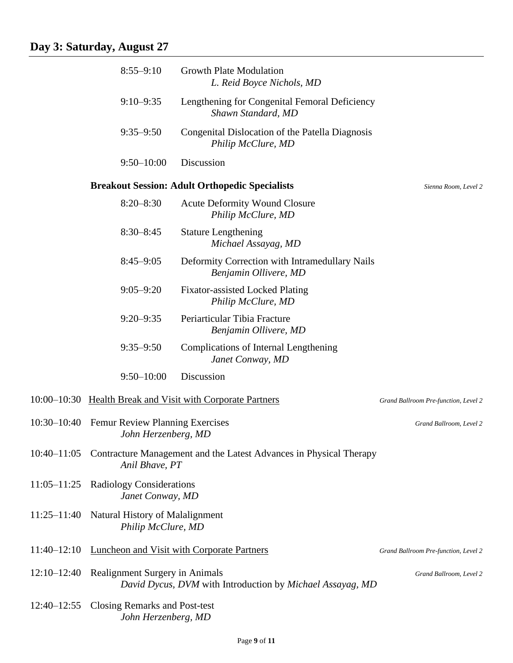|                 | $8:55 - 9:10$                                                 | <b>Growth Plate Modulation</b><br>L. Reid Boyce Nichols, MD             |                                      |
|-----------------|---------------------------------------------------------------|-------------------------------------------------------------------------|--------------------------------------|
|                 | $9:10 - 9:35$                                                 | Lengthening for Congenital Femoral Deficiency<br>Shawn Standard, MD     |                                      |
|                 | $9:35 - 9:50$                                                 | Congenital Dislocation of the Patella Diagnosis<br>Philip McClure, MD   |                                      |
|                 | $9:50 - 10:00$                                                | Discussion                                                              |                                      |
|                 |                                                               | <b>Breakout Session: Adult Orthopedic Specialists</b>                   | Sienna Room, Level 2                 |
|                 | $8:20 - 8:30$                                                 | <b>Acute Deformity Wound Closure</b><br>Philip McClure, MD              |                                      |
|                 | $8:30 - 8:45$                                                 | <b>Stature Lengthening</b><br>Michael Assayag, MD                       |                                      |
|                 | $8:45 - 9:05$                                                 | Deformity Correction with Intramedullary Nails<br>Benjamin Ollivere, MD |                                      |
|                 | $9:05 - 9:20$                                                 | <b>Fixator-assisted Locked Plating</b><br>Philip McClure, MD            |                                      |
|                 | $9:20 - 9:35$                                                 | Periarticular Tibia Fracture<br>Benjamin Ollivere, MD                   |                                      |
|                 | $9:35 - 9:50$                                                 | Complications of Internal Lengthening<br>Janet Conway, MD               |                                      |
|                 | $9:50 - 10:00$                                                | Discussion                                                              |                                      |
| $10:00 - 10:30$ |                                                               | Health Break and Visit with Corporate Partners                          | Grand Ballroom Pre-function, Level 2 |
| $10:30 - 10:40$ | <b>Femur Review Planning Exercises</b><br>John Herzenberg, MD |                                                                         | Grand Ballroom, Level 2              |
| $10:40 - 11:05$ | Anil Bhave, PT                                                | Contracture Management and the Latest Advances in Physical Therapy      |                                      |
| $11:05 - 11:25$ | <b>Radiology Considerations</b><br>Janet Conway, MD           |                                                                         |                                      |
| $11:25 - 11:40$ | Natural History of Malalignment<br>Philip McClure, MD         |                                                                         |                                      |
| $11:40 - 12:10$ |                                                               | <b>Luncheon and Visit with Corporate Partners</b>                       | Grand Ballroom Pre-function, Level 2 |
| $12:10 - 12:40$ | Realignment Surgery in Animals                                | David Dycus, DVM with Introduction by Michael Assayag, MD               | Grand Ballroom, Level 2              |
| $12:40 - 12:55$ | <b>Closing Remarks and Post-test</b><br>John Herzenberg, MD   |                                                                         |                                      |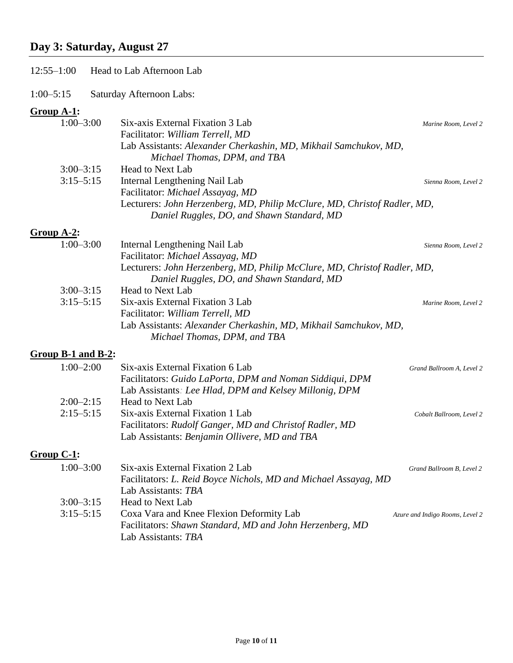# **Day 3: Saturday, August 27**

| $12:55 - 1:00$                           | Head to Lab Afternoon Lab                                                                                                                                                                                                                              |                                 |
|------------------------------------------|--------------------------------------------------------------------------------------------------------------------------------------------------------------------------------------------------------------------------------------------------------|---------------------------------|
| $1:00 - 5:15$                            | Saturday Afternoon Labs:                                                                                                                                                                                                                               |                                 |
| $Group A-1:$<br>$1:00 - 3:00$            | Six-axis External Fixation 3 Lab<br>Facilitator: William Terrell, MD<br>Lab Assistants: Alexander Cherkashin, MD, Mikhail Samchukov, MD,                                                                                                               | Marine Room, Level 2            |
| $3:00 - 3:15$<br>$3:15 - 5:15$           | Michael Thomas, DPM, and TBA<br><b>Head to Next Lab</b><br>Internal Lengthening Nail Lab<br>Facilitator: Michael Assayag, MD<br>Lecturers: John Herzenberg, MD, Philip McClure, MD, Christof Radler, MD,<br>Daniel Ruggles, DO, and Shawn Standard, MD | Sienna Room, Level 2            |
| $Group A-2:$                             |                                                                                                                                                                                                                                                        |                                 |
| $1:00 - 3:00$                            | Internal Lengthening Nail Lab                                                                                                                                                                                                                          | Sienna Room, Level 2            |
|                                          | Facilitator: Michael Assayag, MD<br>Lecturers: John Herzenberg, MD, Philip McClure, MD, Christof Radler, MD,<br>Daniel Ruggles, DO, and Shawn Standard, MD                                                                                             |                                 |
| $3:00 - 3:15$<br>$3:15 - 5:15$           | <b>Head to Next Lab</b><br>Six-axis External Fixation 3 Lab<br>Facilitator: William Terrell, MD<br>Lab Assistants: Alexander Cherkashin, MD, Mikhail Samchukov, MD,<br>Michael Thomas, DPM, and TBA                                                    | Marine Room, Level 2            |
|                                          |                                                                                                                                                                                                                                                        |                                 |
| Group $B-1$ and $B-2$ :<br>$1:00 - 2:00$ | Six-axis External Fixation 6 Lab<br>Facilitators: Guido LaPorta, DPM and Noman Siddiqui, DPM<br>Lab Assistants: Lee Hlad, DPM and Kelsey Millonig, DPM                                                                                                 | Grand Ballroom A, Level 2       |
| $2:00 - 2:15$<br>$2:15 - 5:15$           | Head to Next Lab<br>Six-axis External Fixation 1 Lab<br>Facilitators: Rudolf Ganger, MD and Christof Radler, MD<br>Lab Assistants: Benjamin Ollivere, MD and TBA                                                                                       | Cobalt Ballroom, Level 2        |
| $Group C-1:$                             |                                                                                                                                                                                                                                                        |                                 |
| $1:00 - 3:00$                            | Six-axis External Fixation 2 Lab<br>Facilitators: L. Reid Boyce Nichols, MD and Michael Assayag, MD<br>Lab Assistants: TBA                                                                                                                             | Grand Ballroom B, Level 2       |
| $3:00 - 3:15$<br>$3:15 - 5:15$           | <b>Head to Next Lab</b><br>Coxa Vara and Knee Flexion Deformity Lab<br>Facilitators: Shawn Standard, MD and John Herzenberg, MD<br>Lab Assistants: TBA                                                                                                 | Azure and Indigo Rooms, Level 2 |